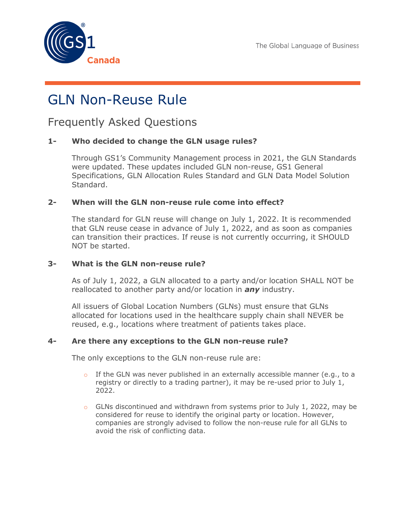



# GLN Non-Reuse Rule

Frequently Asked Questions

## **1- Who decided to change the GLN usage rules?**

Through GS1's Community Management process in 2021, the GLN Standards were updated. These updates included GLN non-reuse, GS1 General Specifications, GLN Allocation Rules Standard and GLN Data Model Solution Standard.

### **2- When will the GLN non-reuse rule come into effect?**

The standard for GLN reuse will change on July 1, 2022. It is recommended that GLN reuse cease in advance of July 1, 2022, and as soon as companies can transition their practices. If reuse is not currently occurring, it SHOULD NOT be started.

#### **3- What is the GLN non-reuse rule?**

As of July 1, 2022, a GLN allocated to a party and/or location SHALL NOT be reallocated to another party and/or location in *any* industry.

All issuers of Global Location Numbers (GLNs) must ensure that GLNs allocated for locations used in the healthcare supply chain shall NEVER be reused, e.g., locations where treatment of patients takes place.

### **4- Are there any exceptions to the GLN non-reuse rule?**

The only exceptions to the GLN non-reuse rule are:

- $\circ$  If the GLN was never published in an externally accessible manner (e.g., to a registry or directly to a trading partner), it may be re-used prior to July 1, 2022.
- $\circ$  GLNs discontinued and withdrawn from systems prior to July 1, 2022, may be considered for reuse to identify the original party or location. However, companies are strongly advised to follow the non-reuse rule for all GLNs to avoid the risk of conflicting data.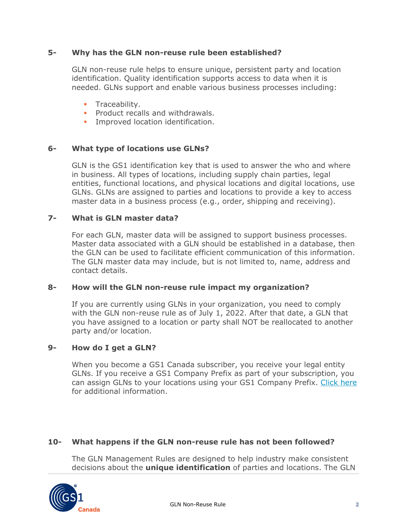## **5- Why has the GLN non-reuse rule been established?**

GLN non-reuse rule helps to ensure unique, persistent party and location identification. Quality identification supports access to data when it is needed. GLNs support and enable various business processes including:

- **Traceability.**
- **Product recalls and withdrawals.**
- **Improved location identification.**

## **6- What type of locations use GLNs?**

GLN is the GS1 identification key that is used to answer the who and where in business. All types of locations, including supply chain parties, legal entities, functional locations, and physical locations and digital locations, use GLNs. GLNs are assigned to parties and locations to provide a key to access master data in a business process (e.g., order, shipping and receiving).

### **7- What is GLN master data?**

For each GLN, master data will be assigned to support business processes. Master data associated with a GLN should be established in a database, then the GLN can be used to facilitate efficient communication of this information. The GLN master data may include, but is not limited to, name, address and contact details.

### **8- How will the GLN non-reuse rule impact my organization?**

If you are currently using GLNs in your organization, you need to comply with the GLN non-reuse rule as of July 1, 2022. After that date, a GLN that you have assigned to a location or party shall NOT be reallocated to another party and/or location.

### **9- How do I get a GLN?**

When you become a GS1 Canada subscriber, you receive your legal entity GLNs. If you receive a GS1 Company Prefix as part of your subscription, you can assign GLNs to your locations using your GS1 Company Prefix. [Click here](https://gs1ca.org/standards/global-location-numbers/) for additional information.

### **10- What happens if the GLN non-reuse rule has not been followed?**

The GLN Management Rules are designed to help industry make consistent decisions about the **unique identification** of parties and locations. The GLN